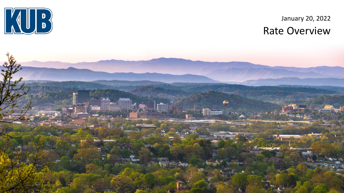

### January 20, 2022 Rate Overview

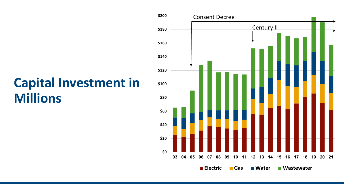# **Capital Investment in Millions**

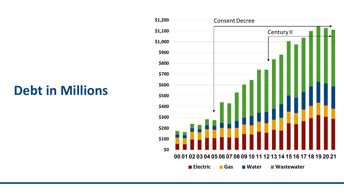# **Debt in Millions**

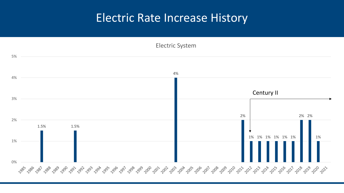### Electric Rate Increase History

Electric System

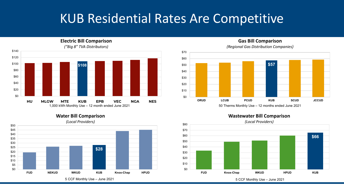# KUB Residential Rates Are Competitive

**\$108** \$0 \$20 \$40 \$60 \$80 \$100 \$120 \$140 **HU MLGW MTE KUB EPB VEC NGA NES** 1,000 kWh Monthly Use – 12 month ended June 2021 *("Big 8" TVA Distributors)*

**Electric Bill Comparison**



**\$57**  \$0 \$10 \$20 \$30 \$40 \$50 \$60 \$70

**ORUD LCUB PCUD KUB SCUD JCCUD** 50 Therms Monthly Use – 12 months ended June 2021

**Wastewater Bill Comparison** 



#### **Gas Bill Comparison** *(Regional Gas Distribution Companies)*

5 CCF Monthly Use – June 2021

#### **Water Bill Comparison**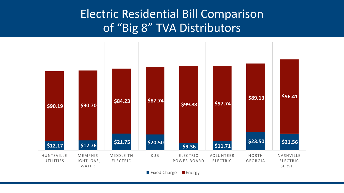### Electric Residential Bill Comparison of "Big 8" TVA Distributors

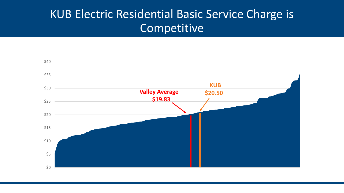## KUB Electric Residential Basic Service Charge is Competitive

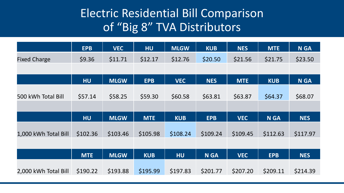## Electric Residential Bill Comparison of "Big 8" TVA Distributors

|                      | <b>EPB</b> | <b>VEC</b>  | <b>HU</b>  | <b>MLGW</b> | <b>KUB</b>  | <b>NES</b> | <b>MTE</b>  | <b>N GA</b> |
|----------------------|------------|-------------|------------|-------------|-------------|------------|-------------|-------------|
| <b>Fixed Charge</b>  | \$9.36     | \$11.71     | \$12.17    | \$12.76     | \$20.50     | \$21.56    | \$21.75     | \$23.50     |
|                      |            |             |            |             |             |            |             |             |
|                      | <b>HU</b>  | <b>MLGW</b> | <b>EPB</b> | <b>VEC</b>  | <b>NES</b>  | <b>MTE</b> | <b>KUB</b>  | <b>N GA</b> |
|                      |            |             |            |             |             |            |             |             |
| 500 kWh Total Bill   | \$57.14    | \$58.25     | \$59.30    | \$60.58     | \$63.81     | \$63.87    | \$64.37     | \$68.07     |
|                      |            |             |            |             |             |            |             |             |
|                      | <b>HU</b>  | <b>MLGW</b> | <b>MTE</b> | <b>KUB</b>  | <b>EPB</b>  | <b>VEC</b> | <b>N GA</b> | <b>NES</b>  |
|                      |            |             |            |             |             |            |             |             |
| 1,000 kWh Total Bill | \$102.36   | \$103.46    | \$105.98   | \$108.24    | \$109.24    | \$109.45   | \$112.63    | \$117.97    |
|                      |            |             |            |             |             |            |             |             |
|                      | <b>MTE</b> | <b>MLGW</b> | <b>KUB</b> | <b>HU</b>   | <b>N GA</b> | <b>VEC</b> | <b>EPB</b>  | <b>NES</b>  |
|                      |            |             |            |             |             |            |             |             |
| 2,000 kWh Total Bill | \$190.22   | \$193.88    | \$195.99   | \$197.83    | \$201.77    | \$207.20   | \$209.11    | \$214.39    |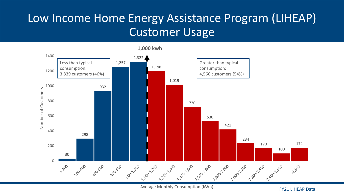## Low Income Home Energy Assistance Program (LIHEAP) Customer Usage



Average Monthly Consumption (kWh)

FY21 LIHEAP Data